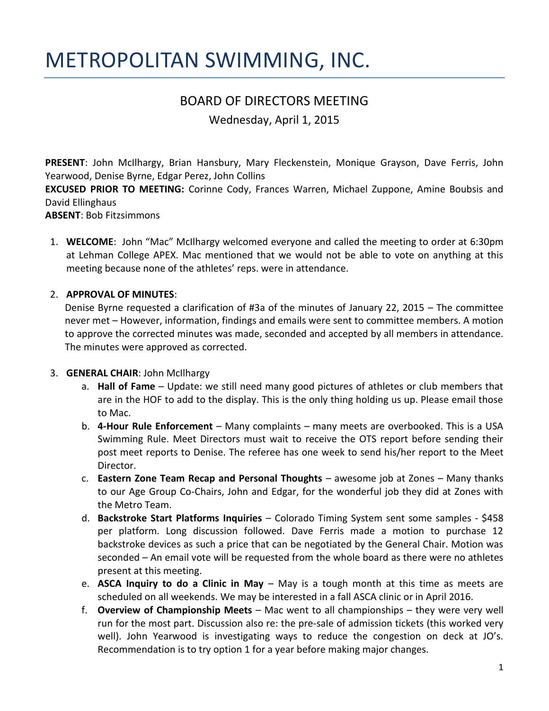# METROPOLITAN SWIMMING, INC.

## BOARD OF DIRECTORS MEETING

Wednesday, April 1, 2015

**PRESENT**: John McIlhargy, Brian Hansbury, Mary Fleckenstein, Monique Grayson, Dave Ferris, John Yearwood, Denise Byrne, Edgar Perez, John Collins

**EXCUSED PRIOR TO MEETING:** Corinne Cody, Frances Warren, Michael Zuppone, Amine Boubsis and David Ellinghaus

**ABSENT**: Bob Fitzsimmons

1. **WELCOME**: John "Mac" McIlhargy welcomed everyone and called the meeting to order at 6:30pm at Lehman College APEX. Mac mentioned that we would not be able to vote on anything at this meeting because none of the athletes' reps. were in attendance.

### 2. **APPROVAL OF MINUTES**:

Denise Byrne requested a clarification of #3a of the minutes of January 22, 2015 – The committee never met – However, information, findings and emails were sent to committee members. A motion to approve the corrected minutes was made, seconded and accepted by all members in attendance. The minutes were approved as corrected.

### 3. **GENERAL CHAIR**: John McIlhargy

- a. **Hall of Fame** Update: we still need many good pictures of athletes or club members that are in the HOF to add to the display. This is the only thing holding us up. Please email those to Mac.
- b. **4-Hour Rule Enforcement**  Many complaints many meets are overbooked. This is a USA Swimming Rule. Meet Directors must wait to receive the OTS report before sending their post meet reports to Denise. The referee has one week to send his/her report to the Meet Director.
- c. **Eastern Zone Team Recap and Personal Thoughts**  awesome job at Zones Many thanks to our Age Group Co-Chairs, John and Edgar, for the wonderful job they did at Zones with the Metro Team.
- d. **Backstroke Start Platforms Inquiries**  Colorado Timing System sent some samples \$458 per platform. Long discussion followed. Dave Ferris made a motion to purchase 12 backstroke devices as such a price that can be negotiated by the General Chair. Motion was seconded – An email vote will be requested from the whole board as there were no athletes present at this meeting.
- e. **ASCA Inquiry to do a Clinic in May** May is a tough month at this time as meets are scheduled on all weekends. We may be interested in a fall ASCA clinic or in April 2016.
- f. **Overview of Championship Meets**  Mac went to all championships they were very well run for the most part. Discussion also re: the pre-sale of admission tickets (this worked very well). John Yearwood is investigating ways to reduce the congestion on deck at JO's. Recommendation is to try option 1 for a year before making major changes.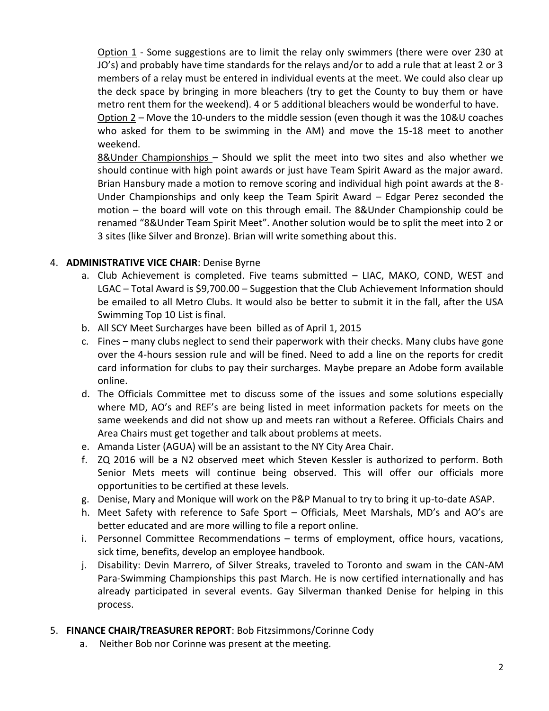Option 1 - Some suggestions are to limit the relay only swimmers (there were over 230 at JO's) and probably have time standards for the relays and/or to add a rule that at least 2 or 3 members of a relay must be entered in individual events at the meet. We could also clear up the deck space by bringing in more bleachers (try to get the County to buy them or have metro rent them for the weekend). 4 or 5 additional bleachers would be wonderful to have.

Option 2 – Move the 10-unders to the middle session (even though it was the 10&U coaches who asked for them to be swimming in the AM) and move the 15-18 meet to another weekend.

8&Under Championships – Should we split the meet into two sites and also whether we should continue with high point awards or just have Team Spirit Award as the major award. Brian Hansbury made a motion to remove scoring and individual high point awards at the 8- Under Championships and only keep the Team Spirit Award – Edgar Perez seconded the motion – the board will vote on this through email. The 8&Under Championship could be renamed "8&Under Team Spirit Meet". Another solution would be to split the meet into 2 or 3 sites (like Silver and Bronze). Brian will write something about this.

### 4. **ADMINISTRATIVE VICE CHAIR**: Denise Byrne

- a. Club Achievement is completed. Five teams submitted LIAC, MAKO, COND, WEST and LGAC – Total Award is \$9,700.00 – Suggestion that the Club Achievement Information should be emailed to all Metro Clubs. It would also be better to submit it in the fall, after the USA Swimming Top 10 List is final.
- b. All SCY Meet Surcharges have been billed as of April 1, 2015
- c. Fines many clubs neglect to send their paperwork with their checks. Many clubs have gone over the 4-hours session rule and will be fined. Need to add a line on the reports for credit card information for clubs to pay their surcharges. Maybe prepare an Adobe form available online.
- d. The Officials Committee met to discuss some of the issues and some solutions especially where MD, AO's and REF's are being listed in meet information packets for meets on the same weekends and did not show up and meets ran without a Referee. Officials Chairs and Area Chairs must get together and talk about problems at meets.
- e. Amanda Lister (AGUA) will be an assistant to the NY City Area Chair.
- f. ZQ 2016 will be a N2 observed meet which Steven Kessler is authorized to perform. Both Senior Mets meets will continue being observed. This will offer our officials more opportunities to be certified at these levels.
- g. Denise, Mary and Monique will work on the P&P Manual to try to bring it up-to-date ASAP.
- h. Meet Safety with reference to Safe Sport Officials, Meet Marshals, MD's and AO's are better educated and are more willing to file a report online.
- i. Personnel Committee Recommendations terms of employment, office hours, vacations, sick time, benefits, develop an employee handbook.
- j. Disability: Devin Marrero, of Silver Streaks, traveled to Toronto and swam in the CAN-AM Para-Swimming Championships this past March. He is now certified internationally and has already participated in several events. Gay Silverman thanked Denise for helping in this process.

### 5. **FINANCE CHAIR/TREASURER REPORT**: Bob Fitzsimmons/Corinne Cody

a. Neither Bob nor Corinne was present at the meeting.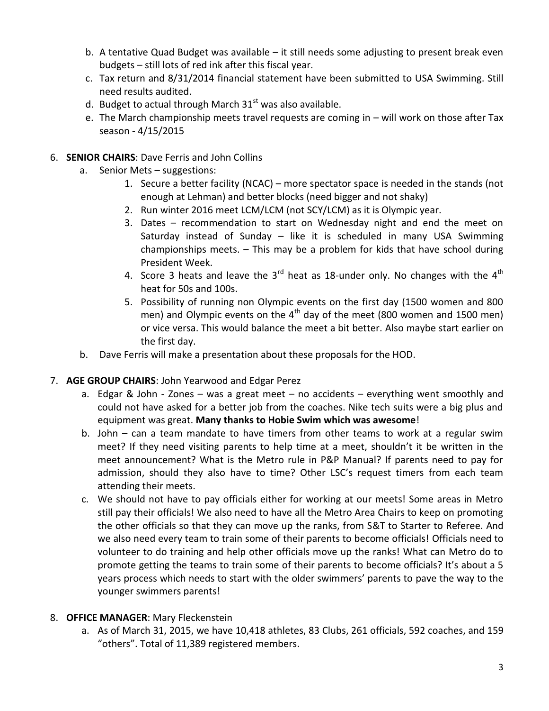- b. A tentative Quad Budget was available it still needs some adjusting to present break even budgets – still lots of red ink after this fiscal year.
- c. Tax return and 8/31/2014 financial statement have been submitted to USA Swimming. Still need results audited.
- d. Budget to actual through March  $31<sup>st</sup>$  was also available.
- e. The March championship meets travel requests are coming in will work on those after Tax season - 4/15/2015
- 6. **SENIOR CHAIRS**: Dave Ferris and John Collins
	- a. Senior Mets suggestions:
		- 1. Secure a better facility (NCAC) more spectator space is needed in the stands (not enough at Lehman) and better blocks (need bigger and not shaky)
		- 2. Run winter 2016 meet LCM/LCM (not SCY/LCM) as it is Olympic year.
		- 3. Dates recommendation to start on Wednesday night and end the meet on Saturday instead of Sunday – like it is scheduled in many USA Swimming championships meets. – This may be a problem for kids that have school during President Week.
		- 4. Score 3 heats and leave the  $3^{rd}$  heat as 18-under only. No changes with the  $4^{th}$ heat for 50s and 100s.
		- 5. Possibility of running non Olympic events on the first day (1500 women and 800 men) and Olympic events on the  $4<sup>th</sup>$  day of the meet (800 women and 1500 men) or vice versa. This would balance the meet a bit better. Also maybe start earlier on the first day.
	- b. Dave Ferris will make a presentation about these proposals for the HOD.
- 7. **AGE GROUP CHAIRS**: John Yearwood and Edgar Perez
	- a. Edgar & John Zones was a great meet no accidents everything went smoothly and could not have asked for a better job from the coaches. Nike tech suits were a big plus and equipment was great. **Many thanks to Hobie Swim which was awesome**!
	- b. John can a team mandate to have timers from other teams to work at a regular swim meet? If they need visiting parents to help time at a meet, shouldn't it be written in the meet announcement? What is the Metro rule in P&P Manual? If parents need to pay for admission, should they also have to time? Other LSC's request timers from each team attending their meets.
	- c. We should not have to pay officials either for working at our meets! Some areas in Metro still pay their officials! We also need to have all the Metro Area Chairs to keep on promoting the other officials so that they can move up the ranks, from S&T to Starter to Referee. And we also need every team to train some of their parents to become officials! Officials need to volunteer to do training and help other officials move up the ranks! What can Metro do to promote getting the teams to train some of their parents to become officials? It's about a 5 years process which needs to start with the older swimmers' parents to pave the way to the younger swimmers parents!

### 8. **OFFICE MANAGER**: Mary Fleckenstein

a. As of March 31, 2015, we have 10,418 athletes, 83 Clubs, 261 officials, 592 coaches, and 159 "others". Total of 11,389 registered members.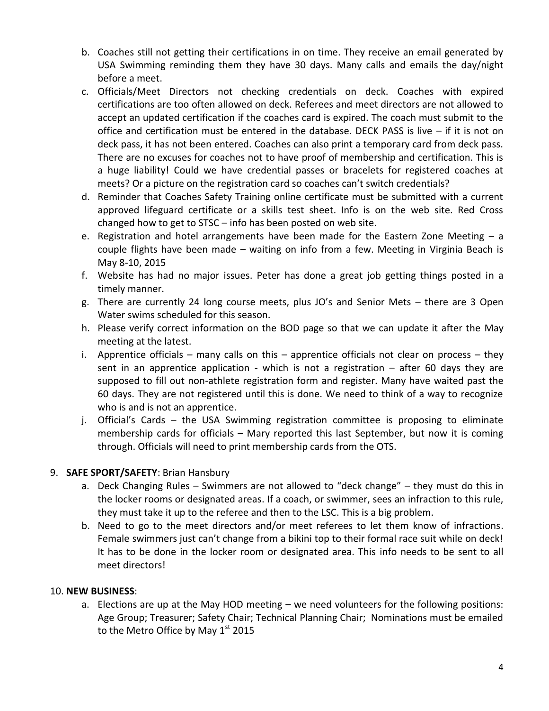- b. Coaches still not getting their certifications in on time. They receive an email generated by USA Swimming reminding them they have 30 days. Many calls and emails the day/night before a meet.
- c. Officials/Meet Directors not checking credentials on deck. Coaches with expired certifications are too often allowed on deck. Referees and meet directors are not allowed to accept an updated certification if the coaches card is expired. The coach must submit to the office and certification must be entered in the database. DECK PASS is live  $-$  if it is not on deck pass, it has not been entered. Coaches can also print a temporary card from deck pass. There are no excuses for coaches not to have proof of membership and certification. This is a huge liability! Could we have credential passes or bracelets for registered coaches at meets? Or a picture on the registration card so coaches can't switch credentials?
- d. Reminder that Coaches Safety Training online certificate must be submitted with a current approved lifeguard certificate or a skills test sheet. Info is on the web site. Red Cross changed how to get to STSC – info has been posted on web site.
- e. Registration and hotel arrangements have been made for the Eastern Zone Meeting a couple flights have been made – waiting on info from a few. Meeting in Virginia Beach is May 8-10, 2015
- f. Website has had no major issues. Peter has done a great job getting things posted in a timely manner.
- g. There are currently 24 long course meets, plus JO's and Senior Mets there are 3 Open Water swims scheduled for this season.
- h. Please verify correct information on the BOD page so that we can update it after the May meeting at the latest.
- i. Apprentice officials many calls on this apprentice officials not clear on process they sent in an apprentice application - which is not a registration – after 60 days they are supposed to fill out non-athlete registration form and register. Many have waited past the 60 days. They are not registered until this is done. We need to think of a way to recognize who is and is not an apprentice.
- j. Official's Cards the USA Swimming registration committee is proposing to eliminate membership cards for officials – Mary reported this last September, but now it is coming through. Officials will need to print membership cards from the OTS.

### 9. **SAFE SPORT/SAFETY**: Brian Hansbury

- a. Deck Changing Rules Swimmers are not allowed to "deck change" they must do this in the locker rooms or designated areas. If a coach, or swimmer, sees an infraction to this rule, they must take it up to the referee and then to the LSC. This is a big problem.
- b. Need to go to the meet directors and/or meet referees to let them know of infractions. Female swimmers just can't change from a bikini top to their formal race suit while on deck! It has to be done in the locker room or designated area. This info needs to be sent to all meet directors!

### 10. **NEW BUSINESS**:

a. Elections are up at the May HOD meeting – we need volunteers for the following positions: Age Group; Treasurer; Safety Chair; Technical Planning Chair; Nominations must be emailed to the Metro Office by May  $1<sup>st</sup>$  2015